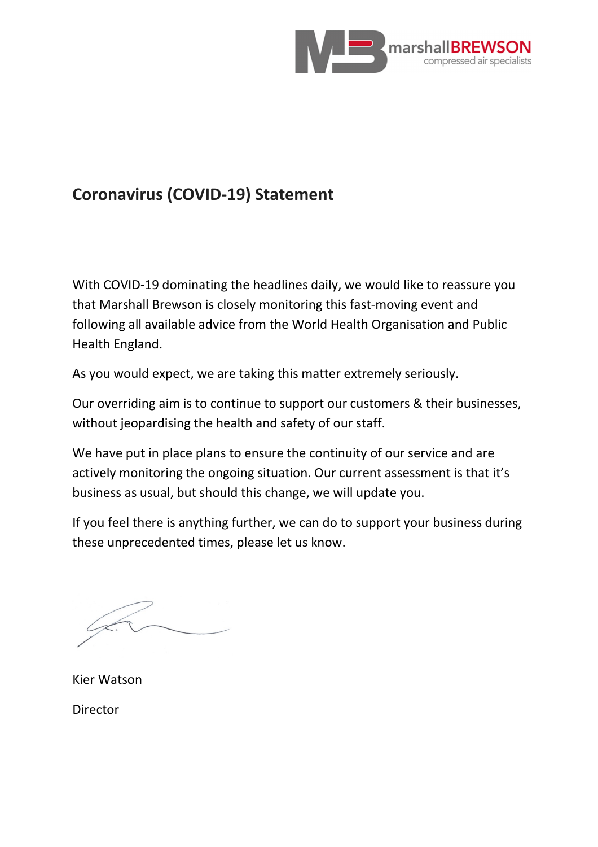

## **Coronavirus (COVID-19) Statement**

With COVID-19 dominating the headlines daily, we would like to reassure you that Marshall Brewson is closely monitoring this fast-moving event and following all available advice from the World Health Organisation and Public Health England.

As you would expect, we are taking this matter extremely seriously.

Our overriding aim is to continue to support our customers & their businesses, without jeopardising the health and safety of our staff.

We have put in place plans to ensure the continuity of our service and are actively monitoring the ongoing situation. Our current assessment is that it's business as usual, but should this change, we will update you.

If you feel there is anything further, we can do to support your business during these unprecedented times, please let us know.

Kier Watson Director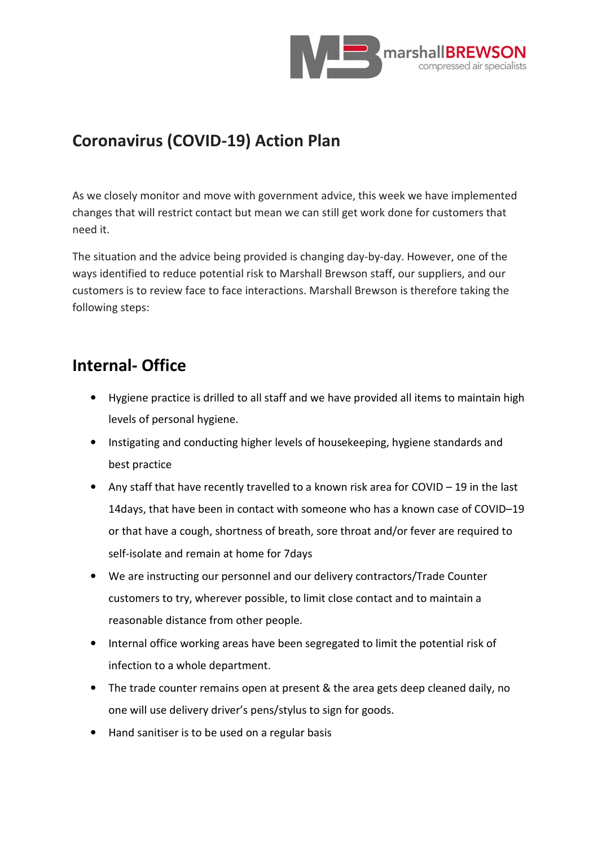

## **Coronavirus (COVID-19) Action Plan**

As we closely monitor and move with government advice, this week we have implemented changes that will restrict contact but mean we can still get work done for customers that need it.

The situation and the advice being provided is changing day-by-day. However, one of the ways identified to reduce potential risk to Marshall Brewson staff, our suppliers, and our customers is to review face to face interactions. Marshall Brewson is therefore taking the following steps:

## **Internal- Office**

- Hygiene practice is drilled to all staff and we have provided all items to maintain high levels of personal hygiene.
- Instigating and conducting higher levels of housekeeping, hygiene standards and best practice
- Any staff that have recently travelled to a known risk area for COVID 19 in the last 14days, that have been in contact with someone who has a known case of COVID–19 or that have a cough, shortness of breath, sore throat and/or fever are required to self-isolate and remain at home for 7days
- We are instructing our personnel and our delivery contractors/Trade Counter customers to try, wherever possible, to limit close contact and to maintain a reasonable distance from other people.
- Internal office working areas have been segregated to limit the potential risk of infection to a whole department.
- The trade counter remains open at present & the area gets deep cleaned daily, no one will use delivery driver's pens/stylus to sign for goods.
- Hand sanitiser is to be used on a regular basis